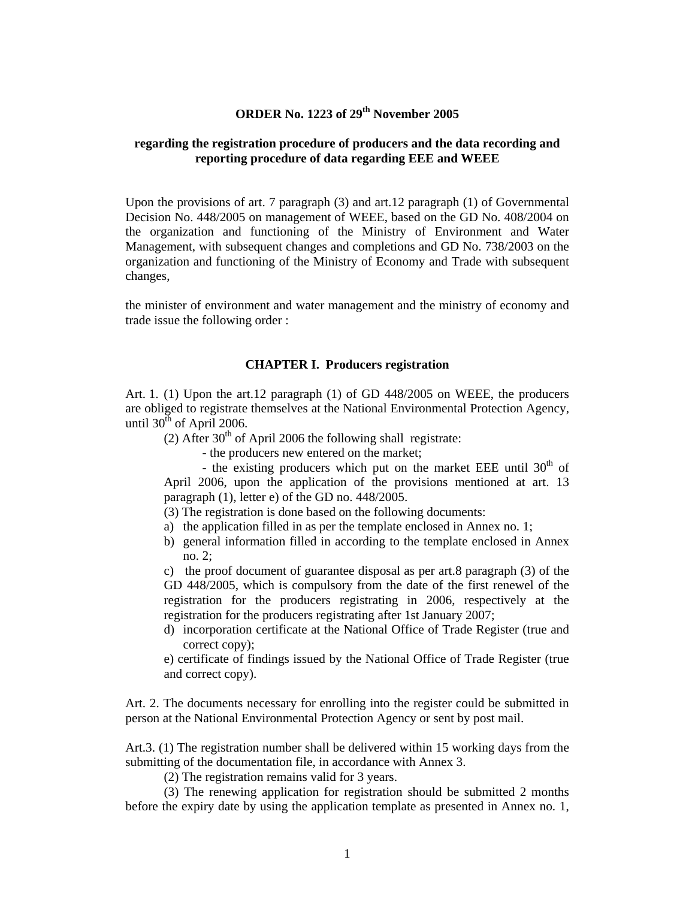# **ORDER No. 1223 of 29th November 2005**

## **regarding the registration procedure of producers and the data recording and reporting procedure of data regarding EEE and WEEE**

Upon the provisions of art. 7 paragraph (3) and art.12 paragraph (1) of Governmental Decision No. 448/2005 on management of WEEE, based on the GD No. 408/2004 on the organization and functioning of the Ministry of Environment and Water Management, with subsequent changes and completions and GD No. 738/2003 on the organization and functioning of the Ministry of Economy and Trade with subsequent changes,

the minister of environment and water management and the ministry of economy and trade issue the following order :

#### **CHAPTER I. Producers registration**

Art. 1. (1) Upon the art.12 paragraph (1) of GD 448/2005 on WEEE, the producers are obliged to registrate themselves at the National Environmental Protection Agency, until  $30<sup>th</sup>$  of April 2006.

(2) After  $30<sup>th</sup>$  of April 2006 the following shall registrate:

- the producers new entered on the market;

- the existing producers which put on the market EEE until  $30<sup>th</sup>$  of April 2006, upon the application of the provisions mentioned at art. 13 paragraph (1), letter e) of the GD no. 448/2005.

(3) The registration is done based on the following documents:

- a) the application filled in as per the template enclosed in Annex no. 1;
- b) general information filled in according to the template enclosed in Annex no. 2;

c) the proof document of guarantee disposal as per art.8 paragraph (3) of the GD 448/2005, which is compulsory from the date of the first renewel of the registration for the producers registrating in 2006, respectively at the registration for the producers registrating after 1st January 2007;

d) incorporation certificate at the National Office of Trade Register (true and correct copy);

e) certificate of findings issued by the National Office of Trade Register (true and correct copy).

Art. 2. The documents necessary for enrolling into the register could be submitted in person at the National Environmental Protection Agency or sent by post mail.

Art.3. (1) The registration number shall be delivered within 15 working days from the submitting of the documentation file, in accordance with Annex 3.

(2) The registration remains valid for 3 years.

(3) The renewing application for registration should be submitted 2 months before the expiry date by using the application template as presented in Annex no. 1,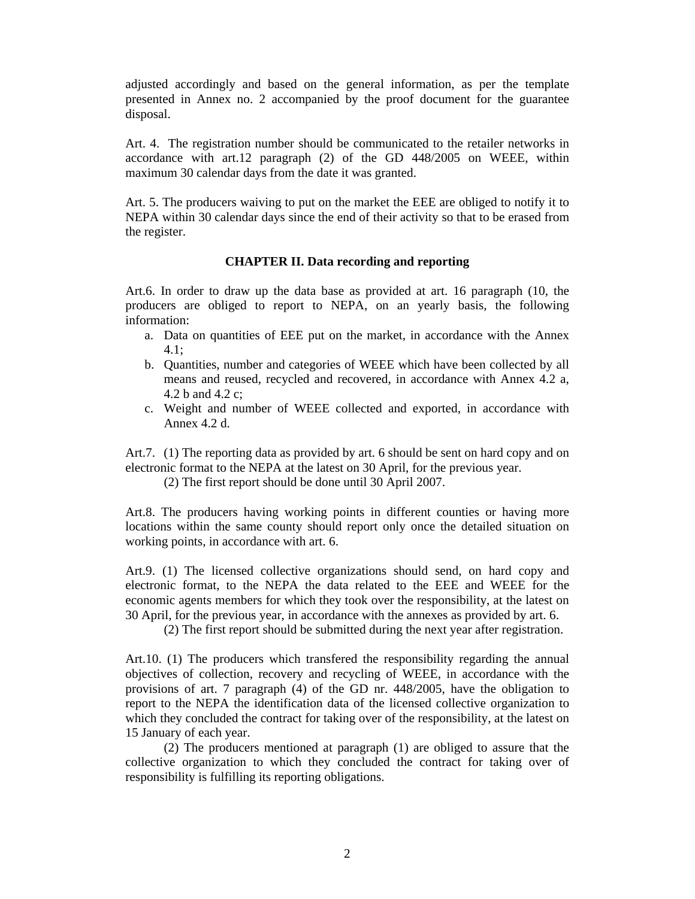adjusted accordingly and based on the general information, as per the template presented in Annex no. 2 accompanied by the proof document for the guarantee disposal.

Art. 4. The registration number should be communicated to the retailer networks in accordance with art.12 paragraph (2) of the GD 448/2005 on WEEE, within maximum 30 calendar days from the date it was granted.

Art. 5. The producers waiving to put on the market the EEE are obliged to notify it to NEPA within 30 calendar days since the end of their activity so that to be erased from the register.

### **CHAPTER II. Data recording and reporting**

Art.6. In order to draw up the data base as provided at art. 16 paragraph (10, the producers are obliged to report to NEPA, on an yearly basis, the following information:

- a. Data on quantities of EEE put on the market, in accordance with the Annex 4.1;
- b. Quantities, number and categories of WEEE which have been collected by all means and reused, recycled and recovered, in accordance with Annex 4.2 a, 4.2 b and 4.2 c;
- c. Weight and number of WEEE collected and exported, in accordance with Annex  $4.2$  d.

Art.7. (1) The reporting data as provided by art. 6 should be sent on hard copy and on electronic format to the NEPA at the latest on 30 April, for the previous year.

(2) The first report should be done until 30 April 2007.

Art.8. The producers having working points in different counties or having more locations within the same county should report only once the detailed situation on working points, in accordance with art. 6.

Art.9. (1) The licensed collective organizations should send, on hard copy and electronic format, to the NEPA the data related to the EEE and WEEE for the economic agents members for which they took over the responsibility, at the latest on 30 April, for the previous year, in accordance with the annexes as provided by art. 6.

(2) The first report should be submitted during the next year after registration.

Art.10. (1) The producers which transfered the responsibility regarding the annual objectives of collection, recovery and recycling of WEEE, in accordance with the provisions of art. 7 paragraph (4) of the GD nr. 448/2005, have the obligation to report to the NEPA the identification data of the licensed collective organization to which they concluded the contract for taking over of the responsibility, at the latest on 15 January of each year.

 (2) The producers mentioned at paragraph (1) are obliged to assure that the collective organization to which they concluded the contract for taking over of responsibility is fulfilling its reporting obligations.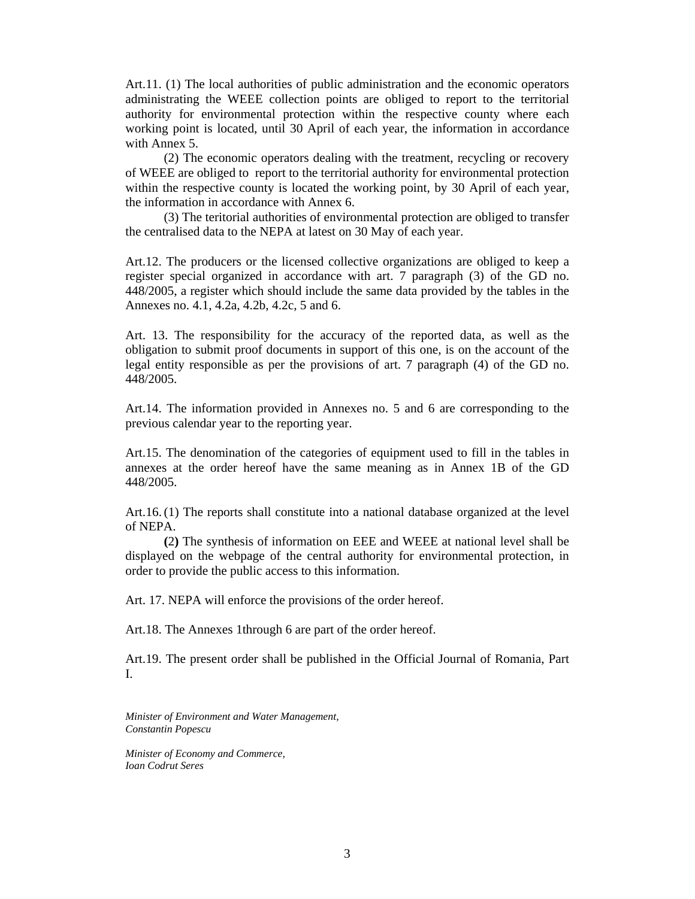Art.11. (1) The local authorities of public administration and the economic operators administrating the WEEE collection points are obliged to report to the territorial authority for environmental protection within the respective county where each working point is located, until 30 April of each year, the information in accordance with Annex 5.

 (2) The economic operators dealing with the treatment, recycling or recovery of WEEE are obliged to report to the territorial authority for environmental protection within the respective county is located the working point, by 30 April of each year, the information in accordance with Annex 6.

(3) The teritorial authorities of environmental protection are obliged to transfer the centralised data to the NEPA at latest on 30 May of each year.

Art.12. The producers or the licensed collective organizations are obliged to keep a register special organized in accordance with art. 7 paragraph (3) of the GD no. 448/2005, a register which should include the same data provided by the tables in the Annexes no. 4.1, 4.2a, 4.2b, 4.2c, 5 and 6.

Art. 13. The responsibility for the accuracy of the reported data, as well as the obligation to submit proof documents in support of this one, is on the account of the legal entity responsible as per the provisions of art. 7 paragraph (4) of the GD no. 448/2005.

Art.14. The information provided in Annexes no. 5 and 6 are corresponding to the previous calendar year to the reporting year.

Art.15. The denomination of the categories of equipment used to fill in the tables in annexes at the order hereof have the same meaning as in Annex 1B of the GD 448/2005.

Art.16. (1) The reports shall constitute into a national database organized at the level of NEPA.

**(**2**)** The synthesis of information on EEE and WEEE at national level shall be displayed on the webpage of the central authority for environmental protection, in order to provide the public access to this information.

Art. 17. NEPA will enforce the provisions of the order hereof.

Art.18. The Annexes 1through 6 are part of the order hereof.

Art.19. The present order shall be published in the Official Journal of Romania, Part I.

*Minister of Environment and Water Management, Constantin Popescu* 

*Minister of Economy and Commerce, Ioan Codrut Seres*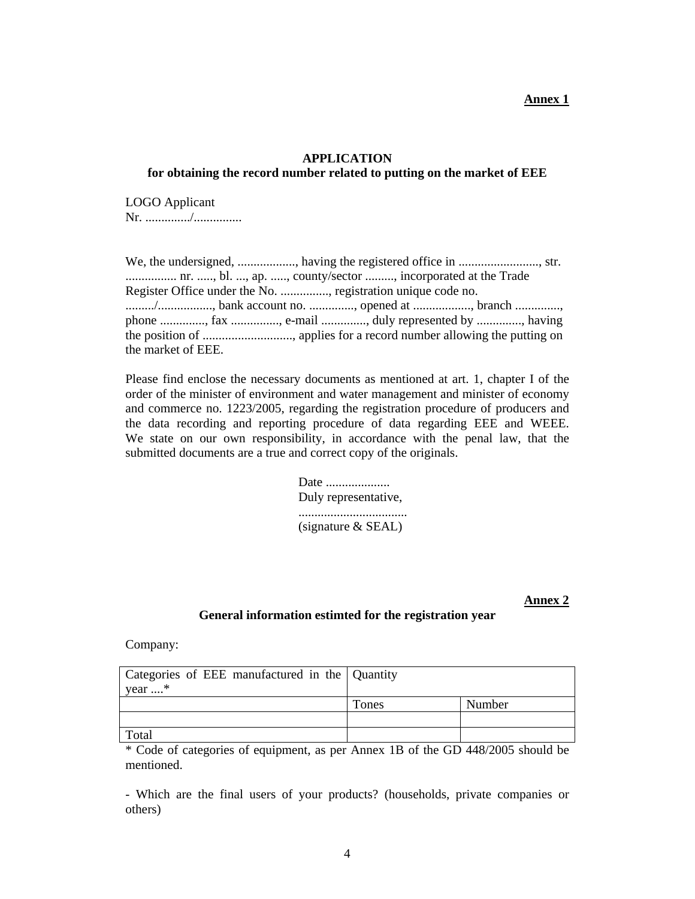### **APPLICATION**

### **for obtaining the record number related to putting on the market of EEE**

LOGO Applicant Nr. ............../.................

We, the undersigned, ................., having the registered office in .........................., str. .................. nr. ....., bl. ..., ap. ....., county/sector ........., incorporated at the Trade Register Office under the No. ..............., registration unique code no. ........./.................., bank account no. .............., opened at ................, branch ............ phone .............., fax ..............., e-mail .............., duly represented by .............., having the position of ............................, applies for a record number allowing the putting on the market of EEE.

Please find enclose the necessary documents as mentioned at art. 1, chapter I of the order of the minister of environment and water management and minister of economy and commerce no. 1223/2005, regarding the registration procedure of producers and the data recording and reporting procedure of data regarding EEE and WEEE. We state on our own responsibility, in accordance with the penal law, that the submitted documents are a true and correct copy of the originals.

> Date ...................... Duly representative, .................................. (signature & SEAL)

# **Annex 2**

### **General information estimted for the registration year**

Company:

| Categories of EEE manufactured in the Quantity |       |        |
|------------------------------------------------|-------|--------|
| year $\dots$ *                                 |       |        |
|                                                | Tones | Number |
|                                                |       |        |
| Total                                          |       |        |

\* Code of categories of equipment, as per Annex 1B of the GD 448/2005 should be mentioned.

- Which are the final users of your products? (households, private companies or others)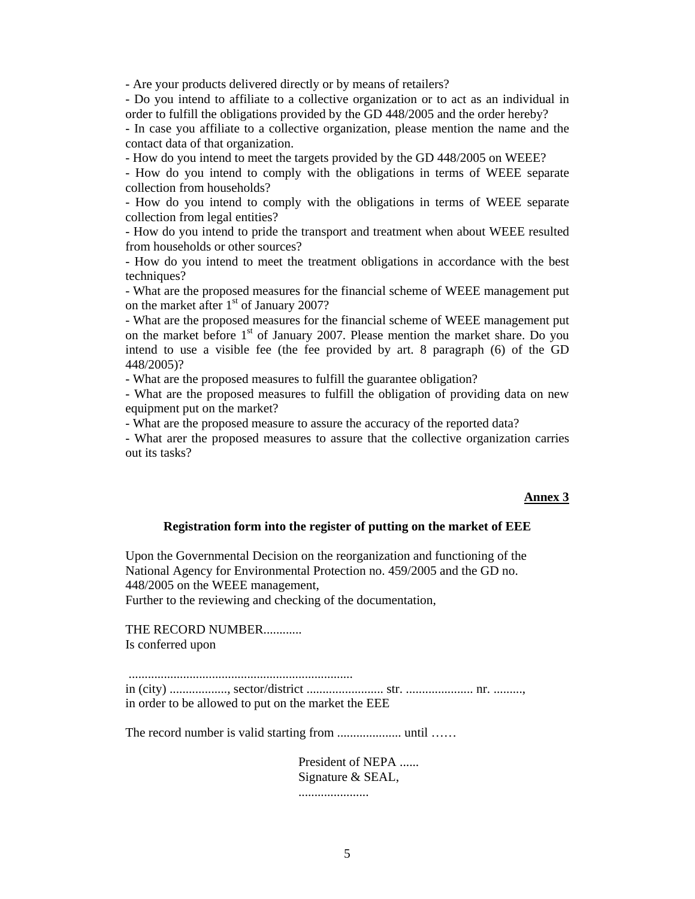- Are your products delivered directly or by means of retailers?

- Do you intend to affiliate to a collective organization or to act as an individual in order to fulfill the obligations provided by the GD 448/2005 and the order hereby?

- In case you affiliate to a collective organization, please mention the name and the contact data of that organization.

- How do you intend to meet the targets provided by the GD 448/2005 on WEEE?

- How do you intend to comply with the obligations in terms of WEEE separate collection from households?

- How do you intend to comply with the obligations in terms of WEEE separate collection from legal entities?

- How do you intend to pride the transport and treatment when about WEEE resulted from households or other sources?

- How do you intend to meet the treatment obligations in accordance with the best techniques?

- What are the proposed measures for the financial scheme of WEEE management put on the market after  $1<sup>st</sup>$  of January 2007?

- What are the proposed measures for the financial scheme of WEEE management put on the market before  $1<sup>st</sup>$  of January 2007. Please mention the market share. Do you intend to use a visible fee (the fee provided by art. 8 paragraph (6) of the GD 448/2005)?

- What are the proposed measures to fulfill the guarantee obligation?

- What are the proposed measures to fulfill the obligation of providing data on new equipment put on the market?

- What are the proposed measure to assure the accuracy of the reported data?

- What arer the proposed measures to assure that the collective organization carries out its tasks?

#### **Annex 3**

#### **Registration form into the register of putting on the market of EEE**

Upon the Governmental Decision on the reorganization and functioning of the National Agency for Environmental Protection no. 459/2005 and the GD no. 448/2005 on the WEEE management,

Further to the reviewing and checking of the documentation,

THE RECORD NUMBER............ Is conferred upon

 ...................................................................... in (city) .................., sector/district ........................ str. ..................... nr. ........., in order to be allowed to put on the market the EEE

The record number is valid starting from .................... until ……

President of NEPA ...... Signature & SEAL, ......................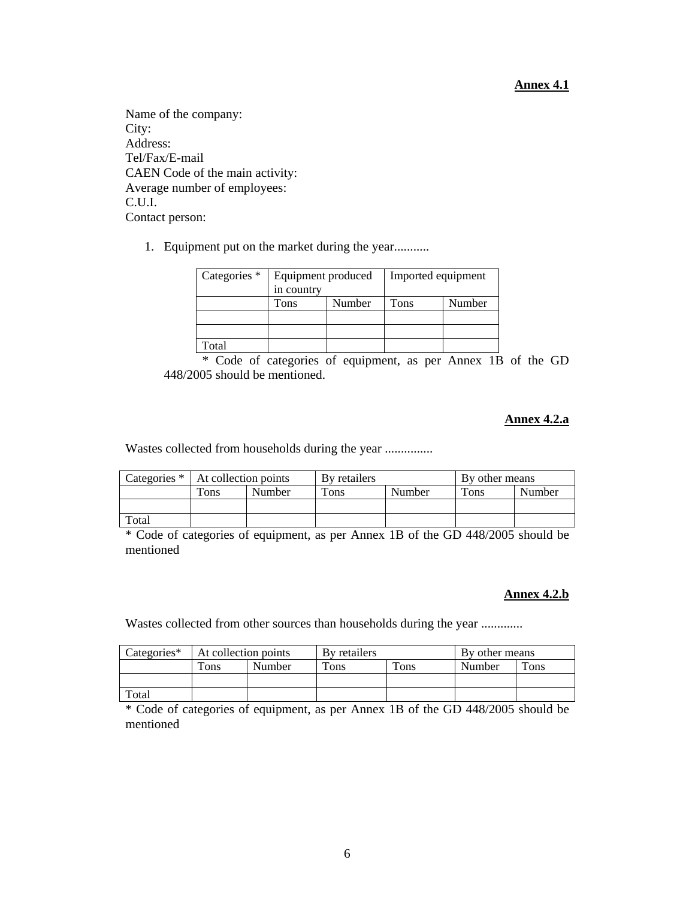## **Annex 4.1**

Name of the company: City: Address: Tel/Fax/E-mail CAEN Code of the main activity: Average number of employees: C.U.I. Contact person:

1. Equipment put on the market during the year...........

| Categories * | Equipment produced<br>in country |        | Imported equipment |        |
|--------------|----------------------------------|--------|--------------------|--------|
|              | Tons                             | Number | Tons               | Number |
|              |                                  |        |                    |        |
|              |                                  |        |                    |        |
| Total        |                                  |        |                    |        |

\* Code of categories of equipment, as per Annex 1B of the GD 448/2005 should be mentioned.

## **Annex 4.2.a**

Wastes collected from households during the year ...............

| $\vert$ Categories $\vert$ At collection points |      |        | By retailers |        | By other means |        |
|-------------------------------------------------|------|--------|--------------|--------|----------------|--------|
|                                                 | Tons | Number | Tons         | Number | Tons           | Number |
|                                                 |      |        |              |        |                |        |
| Total                                           |      |        |              |        |                |        |

\* Code of categories of equipment, as per Annex 1B of the GD 448/2005 should be mentioned

#### **Annex 4.2.b**

Wastes collected from other sources than households during the year .............

| Categories* | At collection points |        | By retailers |      | By other means |      |
|-------------|----------------------|--------|--------------|------|----------------|------|
|             | Tons                 | Number | Tons         | Tons | Number         | Tons |
|             |                      |        |              |      |                |      |
| Total       |                      |        |              |      |                |      |

\* Code of categories of equipment, as per Annex 1B of the GD 448/2005 should be mentioned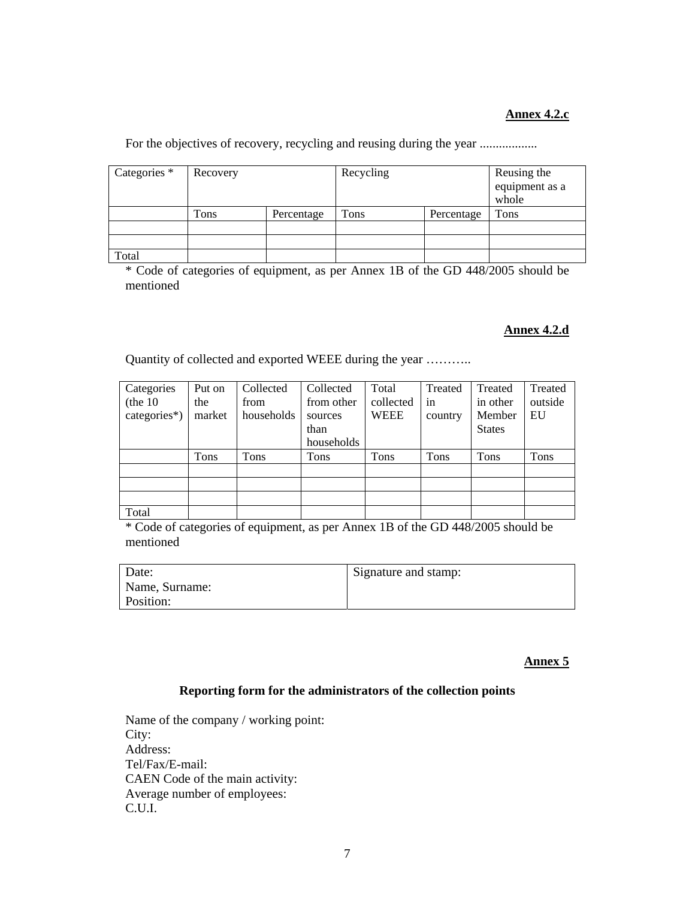## **Annex 4.2.c**

For the objectives of recovery, recycling and reusing during the year ..................

| Categories * | Recovery |            | Recycling | Reusing the<br>equipment as a<br>whole |      |
|--------------|----------|------------|-----------|----------------------------------------|------|
|              | Tons     | Percentage | Tons      | Percentage                             | Tons |
|              |          |            |           |                                        |      |
|              |          |            |           |                                        |      |
| Total        |          |            |           |                                        |      |

\* Code of categories of equipment, as per Annex 1B of the GD 448/2005 should be mentioned

## **Annex 4.2.d**

Quantity of collected and exported WEEE during the year ………..

| Categories   | Put on | Collected  | Collected  | Total       | Treated | Treated       | Treated |
|--------------|--------|------------|------------|-------------|---------|---------------|---------|
| (the 10      | the    | from       | from other | collected   | 1n      | in other      | outside |
| categories*) | market | households | sources    | <b>WEEE</b> | country | Member        | EU      |
|              |        |            | than       |             |         | <b>States</b> |         |
|              |        |            | households |             |         |               |         |
|              | Tons   | Tons       | Tons       | Tons        | Tons    | Tons          | Tons    |
|              |        |            |            |             |         |               |         |
|              |        |            |            |             |         |               |         |
|              |        |            |            |             |         |               |         |
|              |        |            |            |             |         |               |         |

\* Code of categories of equipment, as per Annex 1B of the GD 448/2005 should be mentioned

| Date:          | Signature and stamp: |
|----------------|----------------------|
| Name, Surname: |                      |
| Position:      |                      |

## **Annex 5**

## **Reporting form for the administrators of the collection points**

Name of the company / working point: City: Address: Tel/Fax/E-mail: CAEN Code of the main activity: Average number of employees: C.U.I.